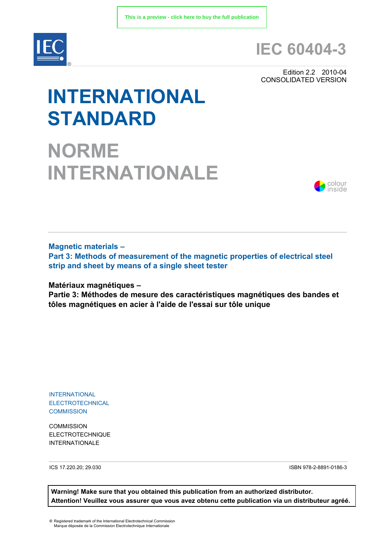

## **IEC 60404-3**

Edition 2.2 2010-04 CONSOLIDATED VERSION

# **INTERNATIONAL STANDARD**

**NORME INTERNATIONALE**



**Magnetic materials –**

**Part 3: Methods of measurement of the magnetic properties of electrical steel strip and sheet by means of a single sheet tester**

**Matériaux magnétiques –** 

**Partie 3: Méthodes de mesure des caractéristiques magnétiques des bandes et tôles magnétiques en acier à l'aide de l'essai sur tôle unique**

INTERNATIONAL ELECTROTECHNICAL **COMMISSION** 

**COMMISSION** ELECTROTECHNIQUE INTERNATIONALE

ICS 17.220.20; 29.030 ISBN 978-2-8891-0186-3

**Warning! Make sure that you obtained this publication from an authorized distributor. Attention! Veuillez vous assurer que vous avez obtenu cette publication via un distributeur agréé.**

® Registered trademark of the International Electrotechnical Commission Marque déposée de la Commission Electrotechnique Internationale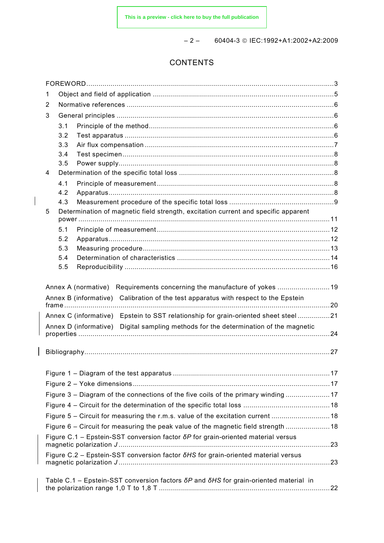– 2 – 60404-3 © IEC:1992+A1:2002+A2:2009

## **CONTENTS**

| $\mathbf{1}$   |                                                                                    |                                                                                                       |  |  |  |
|----------------|------------------------------------------------------------------------------------|-------------------------------------------------------------------------------------------------------|--|--|--|
| $\overline{2}$ |                                                                                    |                                                                                                       |  |  |  |
| 3              |                                                                                    |                                                                                                       |  |  |  |
|                | 3.1                                                                                |                                                                                                       |  |  |  |
|                | 3.2                                                                                |                                                                                                       |  |  |  |
|                | 3.3                                                                                |                                                                                                       |  |  |  |
|                | 3.4                                                                                |                                                                                                       |  |  |  |
|                | 3.5                                                                                |                                                                                                       |  |  |  |
| 4              |                                                                                    |                                                                                                       |  |  |  |
|                | 4.1                                                                                |                                                                                                       |  |  |  |
|                | 4.2                                                                                |                                                                                                       |  |  |  |
|                | 4.3                                                                                |                                                                                                       |  |  |  |
| 5              | Determination of magnetic field strength, excitation current and specific apparent |                                                                                                       |  |  |  |
|                | 5.1                                                                                |                                                                                                       |  |  |  |
|                | 5.2                                                                                |                                                                                                       |  |  |  |
|                | 5.3                                                                                |                                                                                                       |  |  |  |
|                | 5.4                                                                                |                                                                                                       |  |  |  |
|                | 5.5                                                                                |                                                                                                       |  |  |  |
|                |                                                                                    |                                                                                                       |  |  |  |
|                |                                                                                    | Annex A (normative) Requirements concerning the manufacture of yokes  19                              |  |  |  |
|                |                                                                                    | Annex B (informative) Calibration of the test apparatus with respect to the Epstein                   |  |  |  |
|                |                                                                                    |                                                                                                       |  |  |  |
|                |                                                                                    | Annex C (informative) Epstein to SST relationship for grain-oriented sheet steel21                    |  |  |  |
|                |                                                                                    | Annex D (informative) Digital sampling methods for the determination of the magnetic                  |  |  |  |
|                |                                                                                    |                                                                                                       |  |  |  |
|                |                                                                                    |                                                                                                       |  |  |  |
|                |                                                                                    |                                                                                                       |  |  |  |
|                |                                                                                    |                                                                                                       |  |  |  |
|                |                                                                                    |                                                                                                       |  |  |  |
|                |                                                                                    |                                                                                                       |  |  |  |
|                |                                                                                    | Figure 3 – Diagram of the connections of the five coils of the primary winding  17                    |  |  |  |
|                |                                                                                    |                                                                                                       |  |  |  |
|                |                                                                                    | Figure 5 – Circuit for measuring the r.m.s. value of the excitation current  18                       |  |  |  |
|                |                                                                                    | Figure 6 - Circuit for measuring the peak value of the magnetic field strength  18                    |  |  |  |
|                |                                                                                    | Figure C.1 - Epstein-SST conversion factor $\delta P$ for grain-oriented material versus              |  |  |  |
|                |                                                                                    |                                                                                                       |  |  |  |
|                |                                                                                    | Figure C.2 - Epstein-SST conversion factor $\delta$ HS for grain-oriented material versus             |  |  |  |
|                |                                                                                    |                                                                                                       |  |  |  |
|                |                                                                                    | Table C.1 – Epstein-SST conversion factors $\delta P$ and $\delta H S$ for grain-oriented material in |  |  |  |
|                |                                                                                    |                                                                                                       |  |  |  |

 $\overline{\phantom{a}}$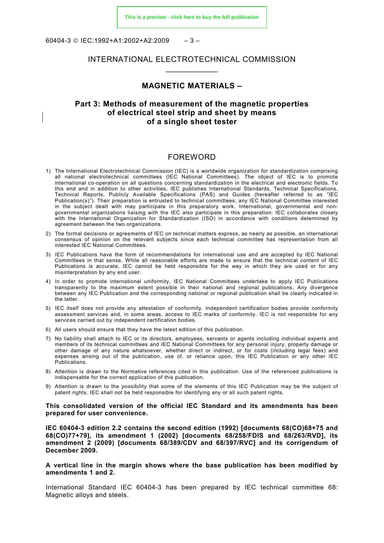<span id="page-2-0"></span>60404-3 © IEC:1992+A1:2002+A2:2009 – 3 –

### INTERNATIONAL ELECTROTECHNICAL COMMISSION  $\frac{1}{2}$  ,  $\frac{1}{2}$  ,  $\frac{1}{2}$  ,  $\frac{1}{2}$  ,  $\frac{1}{2}$  ,  $\frac{1}{2}$

#### **MAGNETIC MATERIALS –**

## **Part 3: Methods of measurement of the magnetic properties of electrical steel strip and sheet by means of a single sheet tester**

#### FOREWORD

- 1) The International Electrotechnical Commission (IEC) is a worldwide organization for standardization comprising all national electrotechnical committees (IEC National Committees). The object of IEC is to promote international co-operation on all questions concerning standardization in the electrical and electronic fields. To this end and in addition to other activities, IEC publishes International Standards, Technical Specifications, Technical Reports, Publicly Available Specifications (PAS) and Guides (hereafter referred to as "IEC Publication(s)"). Their preparation is entrusted to technical committees; any IEC National Committee interested in the subject dealt with may participate in this preparatory work. International, governmental and nongovernmental organizations liaising with the IEC also participate in this preparation. IEC collaborates closely with the International Organization for Standardization (ISO) in accordance with conditions determined by agreement between the two organizations.
- 2) The formal decisions or agreements of IEC on technical matters express, as nearly as possible, an international consensus of opinion on the relevant subjects since each technical committee has representation from all interested IEC National Committees.
- 3) IEC Publications have the form of recommendations for international use and are accepted by IEC National Committees in that sense. While all reasonable efforts are made to ensure that the technical content of IEC Publications is accurate, IEC cannot be held responsible for the way in which they are used or for any misinterpretation by any end user.
- 4) In order to promote international uniformity, IEC National Committees undertake to apply IEC Publications transparently to the maximum extent possible in their national and regional publications. Any divergence between any IEC Publication and the corresponding national or regional publication shall be clearly indicated in the latter.
- 5) IEC itself does not provide any attestation of conformity. Independent certification bodies provide conformity assessment services and, in some areas, access to IEC marks of conformity. IEC is not responsible for any services carried out by independent certification bodies.
- 6) All users should ensure that they have the latest edition of this publication.
- 7) No liability shall attach to IEC or its directors, employees, servants or agents including individual experts and members of its technical committees and IEC National Committees for any personal injury, property damage or other damage of any nature whatsoever, whether direct or indirect, or for costs (including legal fees) and expenses arising out of the publication, use of, or reliance upon, this IEC Publication or any other IEC Publications.
- 8) Attention is drawn to the Normative references cited in this publication. Use of the referenced publications is indispensable for the correct application of this publication.
- 9) Attention is drawn to the possibility that some of the elements of this IEC Publication may be the subject of patent rights. IEC shall not be held responsible for identifying any or all such patent rights.

#### **This consolidated version of the official IEC Standard and its amendments has been prepared for user convenience.**

**IEC 60404-3 edition 2.2 contains the second edition (1992) [documents 68(CO)68+75 and 68(CO)77+79], its amendment 1 (2002) [documents 68/258/FDIS and 68/263/RVD], its amendment 2 (2009) [documents 68/389/CDV and 68/397/RVC] and its corrigendum of December 2009.**

**A vertical line in the margin shows where the base publication has been modified by amendments 1 and 2.**

International Standard IEC 60404-3 has been prepared by IEC technical committee 68: Magnetic alloys and steels.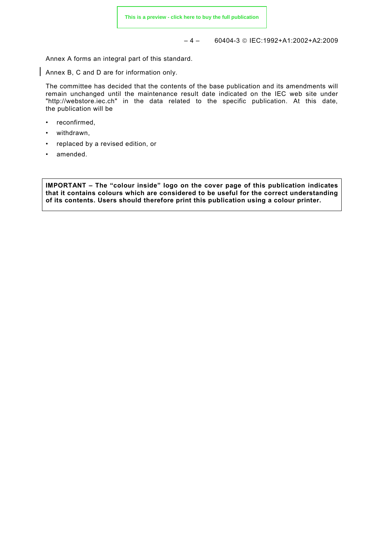– 4 – 60404-3 © IEC:1992+A1:2002+A2:2009

Annex A forms an integral part of this standard.

Annex B, C and D are for information only.

The committee has decided that the contents of the base publication and its amendments will remain unchanged until the maintenance result date indicated on the IEC web site under "http://webstore.iec.ch" in the data related to the specific publication. At this date, the publication will be

- reconfirmed,
- withdrawn,
- replaced by a revised edition, or
- amended.

**IMPORTANT – The "colour inside" logo on the cover page of this publication indicates that it contains colours which are considered to be useful for the correct understanding of its contents. Users should therefore print this publication using a colour printer.**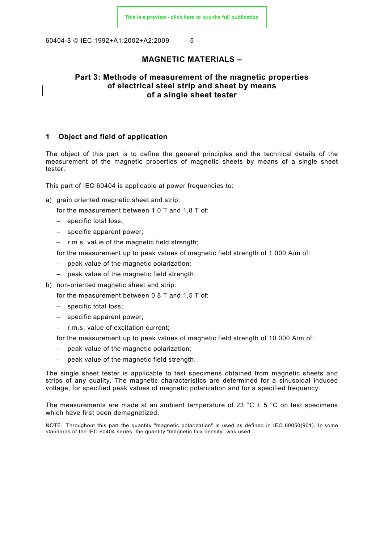<span id="page-4-0"></span>60404-3 © IEC:1992+A1:2002+A2:2009 – 5 –

## **MAGNETIC MATERIALS –**

## **Part 3: Methods of measurement of the magnetic properties of electrical steel strip and sheet by means of a single sheet tester**

#### **1 Object and field of application**

The object of this part is to define the general principles and the technical details of the measurement of the magnetic properties of magnetic sheets by means of a single sheet tester.

This part of IEC 60404 is applicable at power frequencies to:

a) grain oriented magnetic sheet and strip:

for the measurement between 1,0 T and 1,8 T of:

- specific total loss;
- specific apparent power;
- r.m.s. value of the magnetic field strength;
- for the measurement up to peak values of magnetic field strength of 1 000 A/m of:
- peak value of the magnetic polarization;
- peak value of the magnetic field strength.
- b) non-oriented magnetic sheet and strip:

for the measurement between 0,8 T and 1,5 T of:

- specific total loss;
- specific apparent power;
- r.m.s. value of excitation current;
- for the measurement up to peak values of magnetic field strength of 10 000 A/m of:
- peak value of the magnetic polarization;
- peak value of the magnetic field strength.

The single sheet tester is applicable to test specimens obtained from magnetic sheets and strips of any quality. The magnetic characteristics are determined for a sinusoidal induced voltage, for specified peak values of magnetic polarization and for a specified frequency.

The measurements are made at an ambient temperature of 23  $^{\circ}$ C  $\pm$  5  $^{\circ}$ C on test specimens which have first been demagnetized.

NOTE Throughout this part the quantity "magnetic polarization" is used as defined in IEC 60050(901). In some standards of the IEC 60404 series, the quantity "magnetic flux density" was used.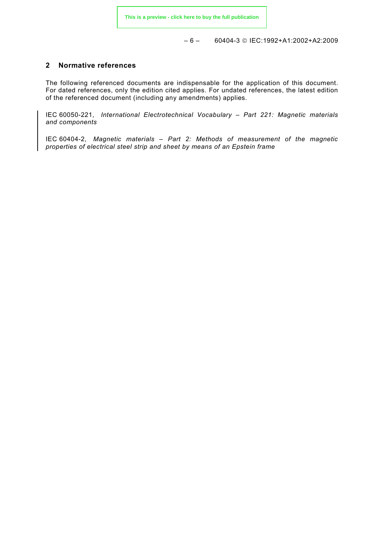– 6 – 60404-3 © IEC:1992+A1:2002+A2:2009

### <span id="page-5-0"></span>**2 Normative references**

The following referenced documents are indispensable for the application of this document. For dated references, only the edition cited applies. For undated references, the latest edition of the referenced document (including any amendments) applies.

IEC 60050-221, *International Electrotechnical Vocabulary – Part 221: Magnetic materials and components* 

IEC 60404-2, *Magnetic materials – Part 2: Methods of measurement of the magnetic properties of electrical steel strip and sheet by means of an Epstein frame*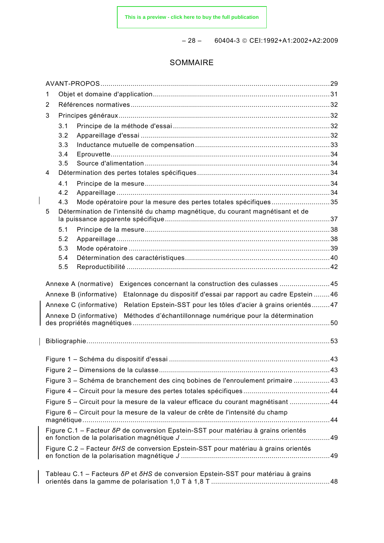– 28 – 60404-3 © CEI:1992+A1:2002+A2:2009

## SOMMAIRE

| 1                                                                                           |                                                                                   |                                                                                           |  |  |  |
|---------------------------------------------------------------------------------------------|-----------------------------------------------------------------------------------|-------------------------------------------------------------------------------------------|--|--|--|
| 2                                                                                           |                                                                                   |                                                                                           |  |  |  |
| 3                                                                                           |                                                                                   |                                                                                           |  |  |  |
|                                                                                             | 3.1                                                                               |                                                                                           |  |  |  |
|                                                                                             | 3.2                                                                               |                                                                                           |  |  |  |
|                                                                                             | 3.3                                                                               |                                                                                           |  |  |  |
|                                                                                             | 3.4                                                                               |                                                                                           |  |  |  |
|                                                                                             | 3.5                                                                               |                                                                                           |  |  |  |
| 4                                                                                           |                                                                                   |                                                                                           |  |  |  |
|                                                                                             | 4.1                                                                               |                                                                                           |  |  |  |
|                                                                                             | 4.2                                                                               |                                                                                           |  |  |  |
|                                                                                             | 4.3                                                                               | Mode opératoire pour la mesure des pertes totales spécifiques35                           |  |  |  |
| 5                                                                                           | Détermination de l'intensité du champ magnétique, du courant magnétisant et de    |                                                                                           |  |  |  |
|                                                                                             | 5.1                                                                               |                                                                                           |  |  |  |
|                                                                                             | 5.2                                                                               |                                                                                           |  |  |  |
|                                                                                             | 5.3                                                                               |                                                                                           |  |  |  |
|                                                                                             | 5.4                                                                               |                                                                                           |  |  |  |
|                                                                                             | 5.5                                                                               |                                                                                           |  |  |  |
|                                                                                             |                                                                                   |                                                                                           |  |  |  |
| Annexe A (normative) Exigences concernant la construction des culasses 45                   |                                                                                   |                                                                                           |  |  |  |
| Annexe B (informative)<br>Etalonnage du dispositif d'essai par rapport au cadre Epstein  46 |                                                                                   |                                                                                           |  |  |  |
| Annexe C (informative)<br>Relation Epstein-SST pour les tôles d'acier à grains orientés 47  |                                                                                   |                                                                                           |  |  |  |
| Méthodes d'échantillonnage numérique pour la détermination<br>Annexe D (informative)        |                                                                                   |                                                                                           |  |  |  |
|                                                                                             |                                                                                   |                                                                                           |  |  |  |
|                                                                                             |                                                                                   |                                                                                           |  |  |  |
|                                                                                             |                                                                                   |                                                                                           |  |  |  |
|                                                                                             |                                                                                   |                                                                                           |  |  |  |
|                                                                                             |                                                                                   | Figure 3 – Schéma de branchement des cinq bobines de l'enroulement primaire 43            |  |  |  |
|                                                                                             |                                                                                   |                                                                                           |  |  |  |
|                                                                                             |                                                                                   |                                                                                           |  |  |  |
|                                                                                             | Figure 5 - Circuit pour la mesure de la valeur efficace du courant magnétisant 44 |                                                                                           |  |  |  |
|                                                                                             | Figure 6 – Circuit pour la mesure de la valeur de crête de l'intensité du champ   |                                                                                           |  |  |  |
|                                                                                             |                                                                                   | Figure C.1 – Facteur $\delta P$ de conversion Epstein-SST pour matériau à grains orientés |  |  |  |
|                                                                                             |                                                                                   |                                                                                           |  |  |  |
|                                                                                             |                                                                                   | Figure C.2 - Facteur δHS de conversion Epstein-SST pour matériau à grains orientés        |  |  |  |
|                                                                                             |                                                                                   |                                                                                           |  |  |  |
|                                                                                             | Tableau C.1 – Facteurs δP et δHS de conversion Epstein-SST pour matériau à grains |                                                                                           |  |  |  |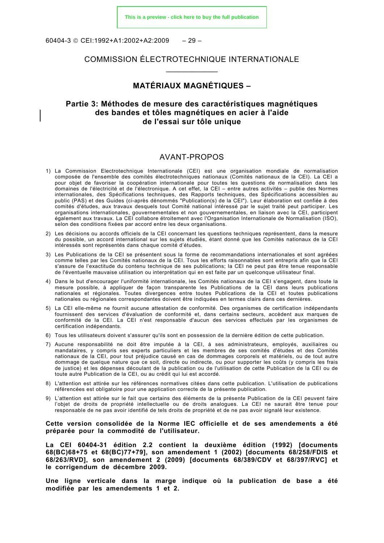<span id="page-7-0"></span>60404-3 © CEI:1992+A1:2002+A2:2009 – 29 –

## COMMISSION ÉLECTROTECHNIQUE INTERNATIONALE  $\frac{1}{2}$  ,  $\frac{1}{2}$  ,  $\frac{1}{2}$  ,  $\frac{1}{2}$  ,  $\frac{1}{2}$  ,  $\frac{1}{2}$

#### **MATÉRIAUX MAGNÉTIQUES –**

## **Partie 3: Méthodes de mesure des caractéristiques magnétiques des bandes et tôles magnétiques en acier à l'aide de l'essai sur tôle unique**

#### AVANT-PROPOS

- 1) La Commission Electrotechnique Internationale (CEI) est une organisation mondiale de normalisation composée de l'ensemble des comités électrotechniques nationaux (Comités nationaux de la CEI). La CEI a pour objet de favoriser la coopération internationale pour toutes les questions de normalisation dans les domaines de l'électricité et de l'électronique. A cet effet, la CEI – entre autres activités – publie des Normes internationales, des Spécifications techniques, des Rapports techniques, des Spécifications accessibles au public (PAS) et des Guides (ci-après dénommés "Publication(s) de la CEI"). Leur élaboration est confiée à des comités d'études, aux travaux desquels tout Comité national intéressé par le sujet traité peut participer. Les organisations internationales, gouvernementales et non gouvernementales, en liaison avec la CEI, participent également aux travaux. La CEI collabore étroitement avec l'Organisation Internationale de Normalisation (ISO), selon des conditions fixées par accord entre les deux organisations.
- 2) Les décisions ou accords officiels de la CEI concernant les questions techniques représentent, dans la mesure du possible, un accord international sur les sujets étudiés, étant donné que les Comités nationaux de la CEI intéressés sont représentés dans chaque comité d'études.
- 3) Les Publications de la CEI se présentent sous la forme de recommandations internationales et sont agréées comme telles par les Comités nationaux de la CEI. Tous les efforts raisonnables sont entrepris afin que la CEI s'assure de l'exactitude du contenu technique de ses publications; la CEI ne peut pas être tenue responsable de l'éventuelle mauvaise utilisation ou interprétation qui en est faite par un quelconque utilisateur final.
- 4) Dans le but d'encourager l'uniformité internationale, les Comités nationaux de la CEI s'engagent, dans toute la mesure possible, à appliquer de façon transparente les Publications de la CEI dans leurs publications nationales et régionales. Toutes divergences entre toutes Publications de la CEI et toutes publications nationales ou régionales correspondantes doivent être indiquées en termes clairs dans ces dernières.
- 5) La CEI elle-même ne fournit aucune attestation de conformité. Des organismes de certification indépendants fournissent des services d'évaluation de conformité et, dans certains secteurs, accèdent aux marques de conformité de la CEI. La CEI n'est responsable d'aucun des services effectués par les organismes de certification indépendants.
- 6) Tous les utilisateurs doivent s'assurer qu'ils sont en possession de la dernière édition de cette publication.
- 7) Aucune responsabilité ne doit être imputée à la CEI, à ses administrateurs, employés, auxiliaires ou mandataires, y compris ses experts particuliers et les membres de ses comités d'études et des Comités nationaux de la CEI, pour tout préjudice causé en cas de dommages corporels et matériels, ou de tout autre dommage de quelque nature que ce soit, directe ou indirecte, ou pour supporter les coûts (y compris les frais de justice) et les dépenses découlant de la publication ou de l'utilisation de cette Publication de la CEI ou de toute autre Publication de la CEI, ou au crédit qui lui est accordé.
- 8) L'attention est attirée sur les références normatives citées dans cette publication. L'utilisation de publications référencées est obligatoire pour une application correcte de la présente publication.
- 9) L'attention est attirée sur le fait que certains des éléments de la présente Publication de la CEI peuvent faire l'objet de droits de propriété intellectuelle ou de droits analogues. La CEI ne saurait être tenue pour responsable de ne pas avoir identifié de tels droits de propriété et de ne pas avoir signalé leur existence.

#### **Cette version consolidée de la Norme IEC officielle et de ses amendements a été préparée pour la commodité de l'utilisateur.**

**La CEI 60404-31 édition 2.2 contient la deuxième édition (1992) [documents 68(BC)68+75 et 68(BC)77+79], son amendement 1 (2002) [documents 68/258/FDIS et 68/263/RVD], son amendement 2 (2009) [documents 68/389/CDV et 68/397/RVC] et le corrigendum de décembre 2009.**

**Une ligne verticale dans la marge indique où la publication de base a été modifiée par les amendements 1 et 2.**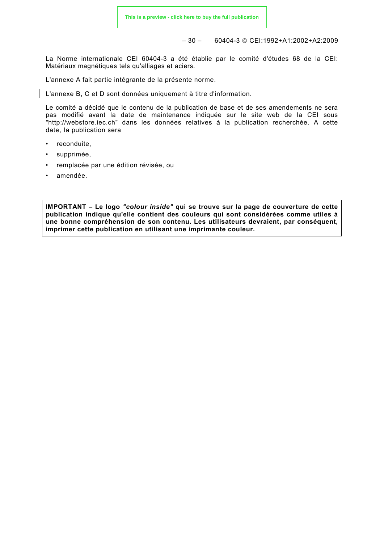– 30 – 60404-3 © CEI:1992+A1:2002+A2:2009

La Norme internationale CEI 60404-3 a été établie par le comité d'études 68 de la CEI: Matériaux magnétiques tels qu'alliages et aciers.

L'annexe A fait partie intégrante de la présente norme.

L'annexe B, C et D sont données uniquement à titre d'information.

Le comité a décidé que le contenu de la publication de base et de ses amendements ne sera pas modifié avant la date de maintenance indiquée sur le site web de la CEI sous "http://webstore.iec.ch" dans les données relatives à la publication recherchée. A cette date, la publication sera

- reconduite,
- supprimée,
- remplacée par une édition révisée, ou
- amendée.

**IMPORTANT – Le logo** *"colour inside"* **qui se trouve sur la page de couverture de cette publication indique qu'elle contient des couleurs qui sont considérées comme utiles à une bonne compréhension de son contenu. Les utilisateurs devraient, par conséquent, imprimer cette publication en utilisant une imprimante couleur.**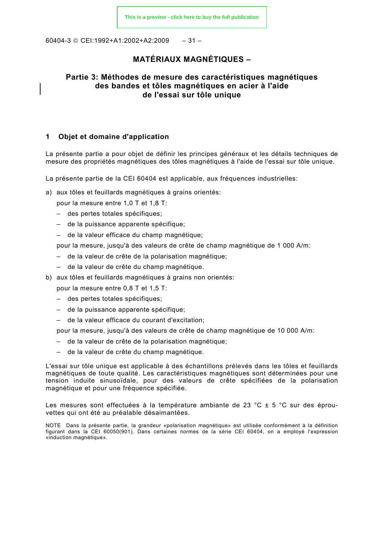<span id="page-9-0"></span>60404-3 © CEI:1992+A1:2002+A2:2009 – 31 –

## **MATÉRIAUX MAGNÉTIQUES –**

## **Partie 3: Méthodes de mesure des caractéristiques magnétiques des bandes et tôles magnétiques en acier à l'aide de l'essai sur tôle unique**

#### **1 Objet et domaine d'application**

La présente partie a pour objet de définir les principes généraux et les détails techniques de mesure des propriétés magnétiques des tôles magnétiques à l'aide de l'essai sur tôle unique.

La présente partie de la CEI 60404 est applicable, aux fréquences industrielles:

a) aux tôles et feuillards magnétiques à grains orientés:

pour la mesure entre 1,0 T et 1,8 T:

- des pertes totales spécifiques;
- de la puissance apparente spécifique;
- de la valeur efficace du champ magnétique;

pour la mesure, jusqu'à des valeurs de crête de champ magnétique de 1 000 A/m:

- de la valeur de crête de la polarisation magnétique;
- de la valeur de crête du champ magnétique.
- b) aux tôles et feuillards magnétiques à grains non orientés:

pour la mesure entre 0,8 T et 1,5 T:

- des pertes totales spécifiques;
- de la puissance apparente spécifique;
- de la valeur efficace du courant d'excitation;

pour la mesure, jusqu'à des valeurs de crête de champ magnétique de 10 000 A/m:

- de la valeur de crête de la polarisation magnétique;
- de la valeur de crête du champ magnétique.

L'essai sur tôle unique est applicable à des échantillons prélevés dans les tôles et feuillards magnétiques de toute qualité. Les caractéristiques magnétiques sont déterminées pour une tension induite sinusoïdale, pour des valeurs de crête spécifiées de la polarisation magnétique et pour une fréquence spécifiée.

Les mesures sont effectuées à la température ambiante de 23 °C  $\pm$  5 °C sur des éprouvettes qui ont été au préalable désaimantées.

NOTE Dans la présente partie, la grandeur «polarisation magnétique» est utilisée conformément à la définition figurant dans la CEI 60050(901). Dans certaines normes de la série CEI 60404, on a employé l'expression «induction magnétique».